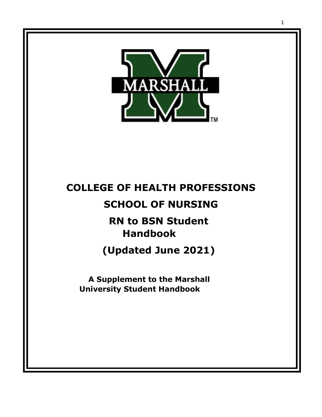

# **COLLEGE OF HEALTH PROFESSIONS**

# **SCHOOL OF NURSING**

# **RN to BSN Student Handbook**

**(Updated June 2021)**

**A Supplement to the Marshall University Student Handbook**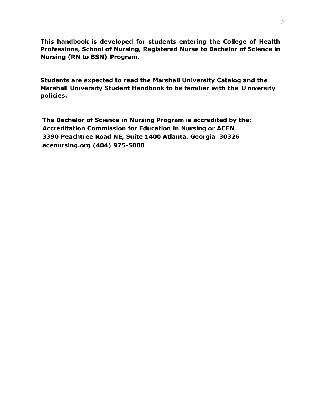**This handbook is developed for students entering the College of Health Professions, School of Nursing, Registered Nurse to Bachelor of Science in Nursing (RN to BSN) Program.**

**Students are expected to read the Marshall University Catalog and the Marshall University Student Handbook to be familiar with the U niversity policies.**

**The Bachelor of Science in Nursing Program is accredited by the: Accreditation Commission for Education in Nursing or ACEN 3390 Peachtree Road NE, Suite 1400 Atlanta, Georgia 30326 acenursing.org (404) 975-5000**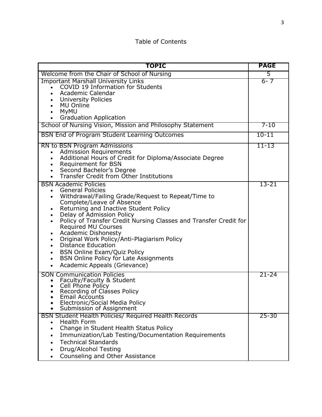# Table of Contents

| <b>TOPIC</b>                                                                                                                                                                                                                                                                                                                                                                                                                                                                                                                                                      | <b>PAGE</b> |
|-------------------------------------------------------------------------------------------------------------------------------------------------------------------------------------------------------------------------------------------------------------------------------------------------------------------------------------------------------------------------------------------------------------------------------------------------------------------------------------------------------------------------------------------------------------------|-------------|
| Welcome from the Chair of School of Nursing                                                                                                                                                                                                                                                                                                                                                                                                                                                                                                                       | 5           |
| <b>Important Marshall University Links</b><br>COVID 19 Information for Students<br>Academic Calendar<br><b>University Policies</b><br><b>MU Online</b><br>MyMU<br><b>Graduation Application</b>                                                                                                                                                                                                                                                                                                                                                                   | $6 - 7$     |
| School of Nursing Vision, Mission and Philosophy Statement                                                                                                                                                                                                                                                                                                                                                                                                                                                                                                        | $7 - 10$    |
| <b>BSN End of Program Student Learning Outcomes</b>                                                                                                                                                                                                                                                                                                                                                                                                                                                                                                               | $10 - 11$   |
| RN to BSN Program Admissions<br><b>Admission Requirements</b><br>Additional Hours of Credit for Diploma/Associate Degree<br>Requirement for BSN<br>Second Bachelor's Degree<br>Transfer Credit from Other Institutions                                                                                                                                                                                                                                                                                                                                            | $11 - 13$   |
| <b>BSN Academic Policies</b><br><b>General Policies</b><br>$\bullet$<br>Withdrawal/Failing Grade/Request to Repeat/Time to<br>Complete/Leave of Absence<br>Returning and Inactive Student Policy<br>Delay of Admission Policy<br>Policy of Transfer Credit Nursing Classes and Transfer Credit for<br><b>Required MU Courses</b><br><b>Academic Dishonesty</b><br>Original Work Policy/Anti-Plagiarism Policy<br><b>Distance Education</b><br><b>BSN Online Exam/Quiz Policy</b><br><b>BSN Online Policy for Late Assignments</b><br>Academic Appeals (Grievance) | 13-21       |
| <b>SON Communication Policies</b><br>Faculty/Faculty & Student<br>$\bullet$<br>Cell Phone Policy<br>Recording of Classes Policy<br>Email Accounts<br>Electronic/Social Media Policy<br>Submission of Assignment                                                                                                                                                                                                                                                                                                                                                   | $21 - 24$   |
| <b>BSN Student Health Policies/ Required Health Records</b><br>Health Form<br>Change in Student Health Status Policy<br>$\bullet$<br>Immunization/Lab Testing/Documentation Requirements<br><b>Technical Standards</b><br>Drug/Alcohol Testing<br>Counseling and Other Assistance                                                                                                                                                                                                                                                                                 | $25 - 30$   |

• dR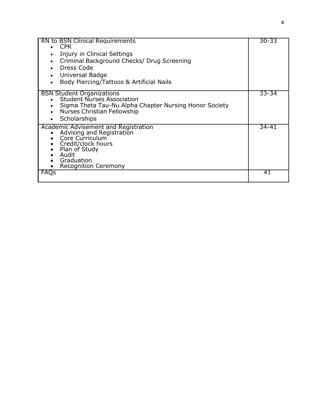| <b>RN to BSN Clinical Requirements</b><br><b>CPR</b><br>Injury in Clinical Settings<br>Criminal Background Checks/ Drug Screening<br>$\bullet$<br>Dress Code<br>Universal Badge<br>Body Piercing/Tattoos & Artificial Nails<br>$\bullet$ | 30-33 |
|------------------------------------------------------------------------------------------------------------------------------------------------------------------------------------------------------------------------------------------|-------|
| <b>BSN Student Organizations</b><br><b>Student Nurses Association</b><br>Sigma Theta Tau-Nu Alpha Chapter Nursing Honor Society<br>Nurses Christian Fellowship<br>Scholarships                                                           | 33-34 |
| Academic Advisement and Registration<br>Advising and Registration<br>Core Curriculum<br>Credit/clock hours<br>Plan of Study<br>Audit<br>Graduation<br><b>Recognition Ceremony</b>                                                        | 34-41 |
| <b>FAUS</b>                                                                                                                                                                                                                              | 41    |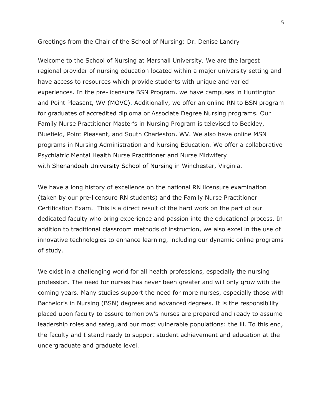Greetings from the Chair of the School of Nursing: Dr. Denise Landry

Welcome to the School of Nursing at Marshall University. We are the largest regional provider of nursing education located within a major university setting and have access to resources which provide students with unique and varied experiences. In the pre-licensure BSN Program, we have campuses in Huntington and Point Pleasant, WV [\(MOVC\).](http://muwww-new.marshall.edu/movc/) Additionally, we offer an online RN to BSN program for graduates of accredited diploma or Associate Degree Nursing programs. Our Family Nurse Practitioner Master's in Nursing Program is televised to Beckley, Bluefield, Point Pleasant, and South Charleston, WV. We also have online MSN programs in Nursing Administration and Nursing Education. We offer a collaborative Psychiatric Mental Health Nurse Practitioner and Nurse Midwifery with Shenandoah [University School of Nursing](http://www.nursing.su.edu/) in Winchester, Virginia.

We have a long history of excellence on the national RN licensure examination (taken by our pre-licensure RN students) and the Family Nurse Practitioner Certification Exam. This is a direct result of the hard work on the part of our dedicated faculty who bring experience and passion into the educational process. In addition to traditional classroom methods of instruction, we also excel in the use of innovative technologies to enhance learning, including our dynamic online programs of study.

We exist in a challenging world for all health professions, especially the nursing profession. The need for nurses has never been greater and will only grow with the coming years. Many studies support the need for more nurses, especially those with Bachelor's in Nursing (BSN) degrees and advanced degrees. It is the responsibility placed upon faculty to assure tomorrow's nurses are prepared and ready to assume leadership roles and safeguard our most vulnerable populations: the ill. To this end, the faculty and I stand ready to support student achievement and education at the undergraduate and graduate level.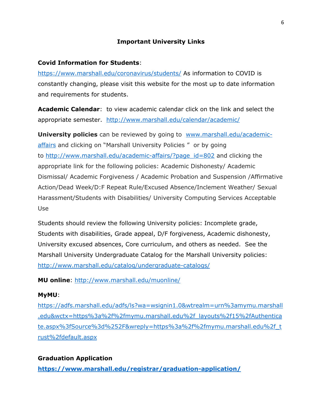#### **Important University Links**

#### **Covid Information for Students**:

<https://www.marshall.edu/coronavirus/students/> As information to COVID is constantly changing, please visit this website for the most up to date information and requirements for students.

**Academic Calendar**: to view academic calendar click on the link and select the appropriate semester. <http://www.marshall.edu/calendar/academic/>

**University policies** can be reviewed by going to [www.marshall.edu/academic](http://www.marshall.edu/academic-affairs)[affairs](http://www.marshall.edu/academic-affairs) and clicking on "Marshall University Policies " or by going to [http://www.marshall.edu/academic-affairs/?page\\_id=802](http://www.marshall.edu/academic-affairs/?page_id=802) and clicking the appropriate link for the following policies: Academic Dishonesty/ Academic Dismissal/ Academic Forgiveness / Academic Probation and Suspension /Affirmative Action/Dead Week/D:F Repeat Rule/Excused Absence/Inclement Weather/ Sexual Harassment/Students with Disabilities/ University Computing Services Acceptable Use

Students should review the following University policies: Incomplete grade, Students with disabilities, Grade appeal, D/F forgiveness, Academic dishonesty, University excused absences, Core curriculum, and others as needed. See the Marshall University Undergraduate Catalog for the Marshall University policies: <http://www.marshall.edu/catalog/undergraduate-catalogs/>

**MU online**:<http://www.marshall.edu/muonline/>

#### **MyMU**:

[https://adfs.marshall.edu/adfs/ls?wa=wsignin1.0&wtrealm=urn%3amymu.marshall](https://adfs.marshall.edu/adfs/ls?wa=wsignin1.0&wtrealm=urn%3amymu.marshall.edu&wctx=https%3a%2f%2fmymu.marshall.edu%2f_layouts%2f15%2fAuthenticate.aspx%3fSource%3d%252F&wreply=https%3a%2f%2fmymu.marshall.edu%2f_trust%2fdefault.aspx) [.edu&wctx=https%3a%2f%2fmymu.marshall.edu%2f\\_layouts%2f15%2fAuthentica](https://adfs.marshall.edu/adfs/ls?wa=wsignin1.0&wtrealm=urn%3amymu.marshall.edu&wctx=https%3a%2f%2fmymu.marshall.edu%2f_layouts%2f15%2fAuthenticate.aspx%3fSource%3d%252F&wreply=https%3a%2f%2fmymu.marshall.edu%2f_trust%2fdefault.aspx) [te.aspx%3fSource%3d%252F&wreply=https%3a%2f%2fmymu.marshall.edu%2f\\_t](https://adfs.marshall.edu/adfs/ls?wa=wsignin1.0&wtrealm=urn%3amymu.marshall.edu&wctx=https%3a%2f%2fmymu.marshall.edu%2f_layouts%2f15%2fAuthenticate.aspx%3fSource%3d%252F&wreply=https%3a%2f%2fmymu.marshall.edu%2f_trust%2fdefault.aspx) [rust%2fdefault.aspx](https://adfs.marshall.edu/adfs/ls?wa=wsignin1.0&wtrealm=urn%3amymu.marshall.edu&wctx=https%3a%2f%2fmymu.marshall.edu%2f_layouts%2f15%2fAuthenticate.aspx%3fSource%3d%252F&wreply=https%3a%2f%2fmymu.marshall.edu%2f_trust%2fdefault.aspx)

#### **Graduation Application**

**<https://www.marshall.edu/registrar/graduation-application/>**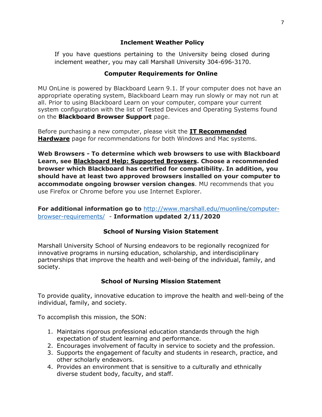## **Inclement Weather Policy**

If you have questions pertaining to the University being closed during inclement weather, you may call Marshall University 304-696-3170.

# **Computer Requirements for Online**

MU OnLine is powered by Blackboard Learn 9.1. If your computer does not have an appropriate operating system, Blackboard Learn may run slowly or may not run at all. Prior to using Blackboard Learn on your computer, compare your current system configuration with the list of Tested Devices and Operating Systems found on the **Blackboard [Browser Support](https://help.blackboard.com/Learn/Student/Getting_Started/Browser_Support)** page.

Before purchasing a new computer, please visit the **[IT Recommended](http://www.marshall.edu/it/rechardware/)  [Hardware](http://www.marshall.edu/it/rechardware/)** page for recommendations for both Windows and Mac systems.

**Web Browsers - To determine which web browsers to use with Blackboard Learn, see [Blackboard Help: Supported Browsers.](https://help.blackboard.com/Learn/Student/Getting_Started/Browser_Support#supported-browsers) Choose a recommended browser which Blackboard has certified for compatibility. In addition, you should have at least two approved browsers installed on your computer to accommodate ongoing browser version changes**. MU recommends that you use Firefox or Chrome before you use Internet Explorer.

**For additional information go to** [http://www.marshall.edu/muonline/computer](http://www.marshall.edu/muonline/computer-browser-requirements/)[browser-requirements/](http://www.marshall.edu/muonline/computer-browser-requirements/) - **Information updated 2/11/2020**

# **School of Nursing Vision Statement**

Marshall University School of Nursing endeavors to be regionally recognized for innovative programs in nursing education, scholarship, and interdisciplinary partnerships that improve the health and well-being of the individual, family, and society.

# **School of Nursing Mission Statement**

To provide quality, innovative education to improve the health and well-being of the individual, family, and society.

To accomplish this mission, the SON:

- 1. Maintains rigorous professional education standards through the high expectation of student learning and performance.
- 2. Encourages involvement of faculty in service to society and the profession.
- 3. Supports the engagement of faculty and students in research, practice, and other scholarly endeavors.
- 4. Provides an environment that is sensitive to a culturally and ethnically diverse student body, faculty, and staff.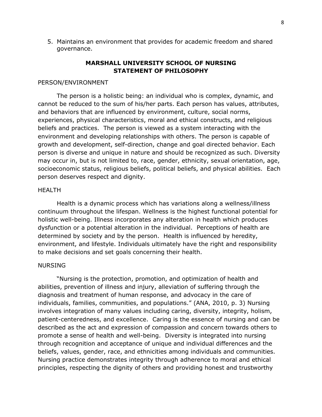5. Maintains an environment that provides for academic freedom and shared governance.

#### **MARSHALL UNIVERSITY SCHOOL OF NURSING STATEMENT OF PHILOSOPHY**

#### PERSON/ENVIRONMENT

The person is a holistic being: an individual who is complex, dynamic, and cannot be reduced to the sum of his/her parts. Each person has values, attributes, and behaviors that are influenced by environment, culture, social norms, experiences, physical characteristics, moral and ethical constructs, and religious beliefs and practices. The person is viewed as a system interacting with the environment and developing relationships with others. The person is capable of growth and development, self-direction, change and goal directed behavior. Each person is diverse and unique in nature and should be recognized as such. Diversity may occur in, but is not limited to, race, gender, ethnicity, sexual orientation, age, socioeconomic status, religious beliefs, political beliefs, and physical abilities. Each person deserves respect and dignity.

#### HEALTH

Health is a dynamic process which has variations along a wellness/illness continuum throughout the lifespan. Wellness is the highest functional potential for holistic well-being. Illness incorporates any alteration in health which produces dysfunction or a potential alteration in the individual. Perceptions of health are determined by society and by the person. Health is influenced by heredity, environment, and lifestyle. Individuals ultimately have the right and responsibility to make decisions and set goals concerning their health.

#### NURSING

"Nursing is the protection, promotion, and optimization of health and abilities, prevention of illness and injury, alleviation of suffering through the diagnosis and treatment of human response, and advocacy in the care of individuals, families, communities, and populations." (ANA, 2010, p. 3) Nursing involves integration of many values including caring, diversity, integrity, holism, patient-centeredness, and excellence. Caring is the essence of nursing and can be described as the act and expression of compassion and concern towards others to promote a sense of health and well-being. Diversity is integrated into nursing through recognition and acceptance of unique and individual differences and the beliefs, values, gender, race, and ethnicities among individuals and communities. Nursing practice demonstrates integrity through adherence to moral and ethical principles, respecting the dignity of others and providing honest and trustworthy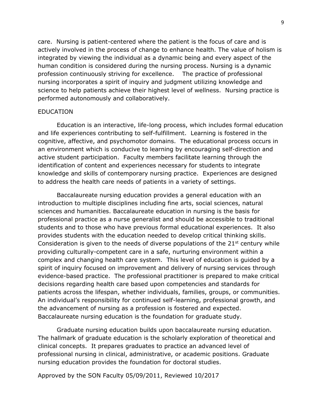care. Nursing is patient-centered where the patient is the focus of care and is actively involved in the process of change to enhance health. The value of holism is integrated by viewing the individual as a dynamic being and every aspect of the human condition is considered during the nursing process. Nursing is a dynamic profession continuously striving for excellence. The practice of professional nursing incorporates a spirit of inquiry and judgment utilizing knowledge and science to help patients achieve their highest level of wellness. Nursing practice is performed autonomously and collaboratively.

#### EDUCATION

Education is an interactive, life-long process, which includes formal education and life experiences contributing to self-fulfillment. Learning is fostered in the cognitive, affective, and psychomotor domains. The educational process occurs in an environment which is conducive to learning by encouraging self-direction and active student participation. Faculty members facilitate learning through the identification of content and experiences necessary for students to integrate knowledge and skills of contemporary nursing practice. Experiences are designed to address the health care needs of patients in a variety of settings.

 Baccalaureate nursing education provides a general education with an introduction to multiple disciplines including fine arts, social sciences, natural sciences and humanities. Baccalaureate education in nursing is the basis for professional practice as a nurse generalist and should be accessible to traditional students and to those who have previous formal educational experiences. It also provides students with the education needed to develop critical thinking skills. Consideration is given to the needs of diverse populations of the  $21<sup>st</sup>$  century while providing culturally-competent care in a safe, nurturing environment within a complex and changing health care system. This level of education is guided by a spirit of inquiry focused on improvement and delivery of nursing services through evidence-based practice. The professional practitioner is prepared to make critical decisions regarding health care based upon competencies and standards for patients across the lifespan, whether individuals, families, groups, or communities. An individual's responsibility for continued self-learning, professional growth, and the advancement of nursing as a profession is fostered and expected. Baccalaureate nursing education is the foundation for graduate study.

Graduate nursing education builds upon baccalaureate nursing education. The hallmark of graduate education is the scholarly exploration of theoretical and clinical concepts. It prepares graduates to practice an advanced level of professional nursing in clinical, administrative, or academic positions. Graduate nursing education provides the foundation for doctoral studies.

Approved by the SON Faculty 05/09/2011, Reviewed 10/2017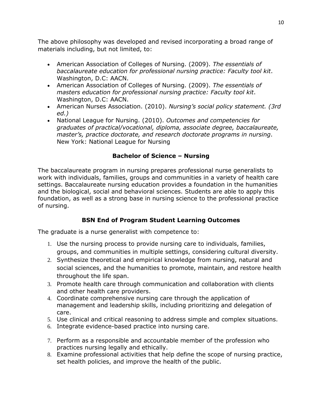The above philosophy was developed and revised incorporating a broad range of materials including, but not limited, to:

- American Association of Colleges of Nursing. (2009). *The essentials of baccalaureate education for professional nursing practice: Faculty tool kit*. Washington, D.C: AACN.
- American Association of Colleges of Nursing. (2009). *The essentials of masters education for professional nursing practice: Faculty tool kit*. Washington, D.C: AACN.
- American Nurses Association. (2010). *Nursing's social policy statement. (3rd ed.)*
- National League for Nursing. (2010). *Outcomes and competencies for graduates of practical/vocational, diploma, associate degree, baccalaureate, master's, practice doctorate, and research doctorate programs in nursing*. New York: National League for Nursing

## **Bachelor of Science – Nursing**

The baccalaureate program in nursing prepares professional nurse generalists to work with individuals, families, groups and communities in a variety of health care settings. Baccalaureate nursing education provides a foundation in the humanities and the biological, social and behavioral sciences. Students are able to apply this foundation, as well as a strong base in nursing science to the professional practice of nursing.

# **BSN End of Program Student Learning Outcomes**

The graduate is a nurse generalist with competence to:

- 1. Use the nursing process to provide nursing care to individuals, families, groups, and communities in multiple settings, considering cultural diversity.
- 2. Synthesize theoretical and empirical knowledge from nursing, natural and social sciences, and the humanities to promote, maintain, and restore health throughout the life span.
- 3. Promote health care through communication and collaboration with clients and other health care providers.
- 4. Coordinate comprehensive nursing care through the application of management and leadership skills, including prioritizing and delegation of care.
- 5. Use clinical and critical reasoning to address simple and complex situations.
- 6. Integrate evidence-based practice into nursing care.
- 7. Perform as a responsible and accountable member of the profession who practices nursing legally and ethically.
- 8. Examine professional activities that help define the scope of nursing practice, set health policies, and improve the health of the public.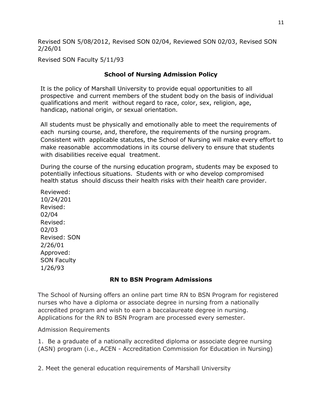Revised SON 5/08/2012, Revised SON 02/04, Reviewed SON 02/03, Revised SON 2/26/01

Revised SON Faculty 5/11/93

## **School of Nursing Admission Policy**

It is the policy of Marshall University to provide equal opportunities to all prospective and current members of the student body on the basis of individual qualifications and merit without regard to race, color, sex, religion, age, handicap, national origin, or sexual orientation.

All students must be physically and emotionally able to meet the requirements of each nursing course, and, therefore, the requirements of the nursing program. Consistent with applicable statutes, the School of Nursing will make every effort to make reasonable accommodations in its course delivery to ensure that students with disabilities receive equal treatment.

During the course of the nursing education program, students may be exposed to potentially infectious situations. Students with or who develop compromised health status should discuss their health risks with their health care provider.

Reviewed: 10/24/201 Revised: 02/04 Revised: 02/03 Revised: SON 2/26/01 Approved: SON Faculty 1/26/93

# **RN to BSN Program Admissions**

The School of Nursing offers an online part time RN to BSN Program for registered nurses who have a diploma or associate degree in nursing from a nationally accredited program and wish to earn a baccalaureate degree in nursing. Applications for the RN to BSN Program are processed every semester.

Admission Requirements

1. Be a graduate of a nationally accredited diploma or associate degree nursing (ASN) program (i.e., ACEN - Accreditation Commission for Education in Nursing)

2. Meet the general education requirements of Marshall University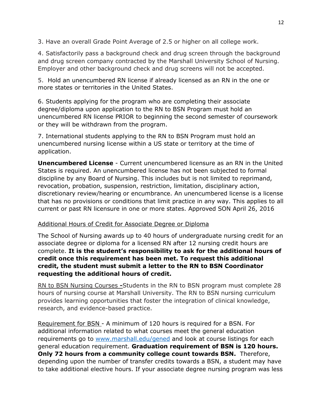3. Have an overall Grade Point Average of 2.5 or higher on all college work.

4. Satisfactorily pass a background check and drug screen through the background and drug screen company contracted by the Marshall University School of Nursing. Employer and other background check and drug screens will not be accepted.

5. Hold an unencumbered RN license if already licensed as an RN in the one or more states or territories in the United States.

6. Students applying for the program who are completing their associate degree/diploma upon application to the RN to BSN Program must hold an unencumbered RN license PRIOR to beginning the second semester of coursework or they will be withdrawn from the program.

7. International students applying to the RN to BSN Program must hold an unencumbered nursing license within a US state or territory at the time of application.

**Unencumbered License** - Current unencumbered licensure as an RN in the United States is required. An unencumbered license has not been subjected to formal discipline by any Board of Nursing. This includes but is not limited to reprimand, revocation, probation, suspension, restriction, limitation, disciplinary action, discretionary review/hearing or encumbrance. An unencumbered license is a license that has no provisions or conditions that limit practice in any way. This applies to all current or past RN licensure in one or more states. Approved SON April 26, 2016

#### Additional Hours of Credit for Associate Degree or Diploma

The School of Nursing awards up to 40 hours of undergraduate nursing credit for an associate degree or diploma for a licensed RN after 12 nursing credit hours are complete. **It is the student's responsibility to ask for the additional hours of credit once this requirement has been met. To request this additional credit, the student must submit a letter to the RN to BSN Coordinator requesting the additional hours of credit.** 

RN to BSN Nursing Courses **-**Students in the RN to BSN program must complete 28 hours of nursing course at Marshall University. The RN to BSN nursing curriculum provides learning opportunities that foster the integration of clinical knowledge, research, and evidence-based practice.

Requirement for BSN - A minimum of 120 hours is required for a BSN. For additional information related to what courses meet the general education requirements go to [www.marshall.edu/gened](http://www.marshall.edu/gened) and look at course listings for each general education requirement. **Graduation requirement of BSN is 120 hours. Only 72 hours from a community college count towards BSN.** Therefore, depending upon the number of transfer credits towards a BSN, a student may have to take additional elective hours. If your associate degree nursing program was less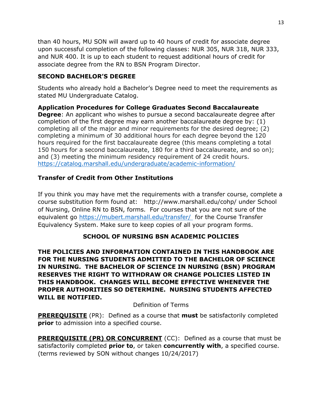than 40 hours, MU SON will award up to 40 hours of credit for associate degree upon successful completion of the following classes: NUR 305, NUR 318, NUR 333, and NUR 400. It is up to each student to request additional hours of credit for associate degree from the RN to BSN Program Director.

# **SECOND BACHELOR'S DEGREE**

Students who already hold a Bachelor's Degree need to meet the requirements as stated MU Undergraduate Catalog.

**Application Procedures for College Graduates Second Baccalaureate Degree**: An applicant who wishes to pursue a second baccalaureate degree after completion of the first degree may earn another baccalaureate degree by: (1) completing all of the major and minor requirements for the desired degree; (2) completing a minimum of 30 additional hours for each degree beyond the 120 hours required for the first baccalaureate degree (this means completing a total 150 hours for a second baccalaureate, 180 for a third baccalaureate, and so on); and (3) meeting the minimum residency requirement of 24 credit hours. <https://catalog.marshall.edu/undergraduate/academic-information/>

# **Transfer of Credit from Other Institutions**

If you think you may have met the requirements with a transfer course, complete a course substitution form found at: http://www.marshall.edu/cohp/ under School of Nursing, Online RN to BSN, forms. For courses that you are not sure of the equivalent go<https://mubert.marshall.edu/transfer/> for the Course Transfer Equivalency System. Make sure to keep copies of all your program forms.

# **SCHOOL OF NURSING BSN ACADEMIC POLICIES**

**THE POLICIES AND INFORMATION CONTAINED IN THIS HANDBOOK ARE FOR THE NURSING STUDENTS ADMITTED TO THE BACHELOR OF SCIENCE IN NURSING. THE BACHELOR OF SCIENCE IN NURSING (BSN) PROGRAM RESERVES THE RIGHT TO WITHDRAW OR CHANGE POLICIES LISTED IN THIS HANDBOOK. CHANGES WILL BECOME EFFECTIVE WHENEVER THE PROPER AUTHORITIES SO DETERMINE. NURSING STUDENTS AFFECTED WILL BE NOTIFIED.**

#### Definition of Terms

**PREREQUISITE** (PR): Defined as a course that **must** be satisfactorily completed **prior** to admission into a specified course.

**PREREQUISITE (PR) OR CONCURRENT** (CC): Defined as a course that must be satisfactorily completed **prior to**, or taken **concurrently with**, a specified course. (terms reviewed by SON without changes 10/24/2017)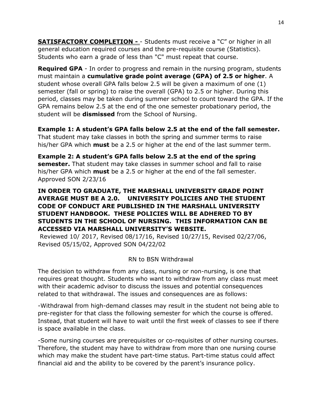**SATISFACTORY COMPLETION -** - Students must receive a "C" or higher in all general education required courses and the pre-requisite course (Statistics). Students who earn a grade of less than "C" must repeat that course.

**Required GPA** - In order to progress and remain in the nursing program, students must maintain a **cumulative grade point average (GPA) of 2.5 or higher**. A student whose overall GPA falls below 2.5 will be given a maximum of one (1) semester (fall or spring) to raise the overall (GPA) to 2.5 or higher. During this period, classes may be taken during summer school to count toward the GPA. If the GPA remains below 2.5 at the end of the one semester probationary period, the student will be **dismissed** from the School of Nursing.

**Example 1: A student's GPA falls below 2.5 at the end of the fall semester.**  That student may take classes in both the spring and summer terms to raise his/her GPA which **must** be a 2.5 or higher at the end of the last summer term.

**Example 2: A student's GPA falls below 2.5 at the end of the spring semester.** That student may take classes in summer school and fall to raise his/her GPA which **must** be a 2.5 or higher at the end of the fall semester. Approved SON 2/23/16

## **IN ORDER TO GRADUATE, THE MARSHALL UNIVERSITY GRADE POINT AVERAGE MUST BE A 2.0. UNIVERSITY POLICIES AND THE STUDENT CODE OF CONDUCT ARE PUBLISHED IN THE MARSHALL UNIVERSITY STUDENT HANDBOOK. THESE POLICIES WILL BE ADHERED TO BY STUDENTS IN THE SCHOOL OF NURSING. THIS INFORMATION CAN BE ACCESSED VIA MARSHALL UNIVERSITY'S WEBSITE.**

Reviewed 10/ 2017, Revised 08/17/16, Revised 10/27/15, Revised 02/27/06, Revised 05/15/02, Approved SON 04/22/02

#### RN to BSN Withdrawal

The decision to withdraw from any class, nursing or non-nursing, is one that requires great thought. Students who want to withdraw from any class must meet with their academic advisor to discuss the issues and potential consequences related to that withdrawal. The issues and consequences are as follows:

-Withdrawal from high-demand classes may result in the student not being able to pre-register for that class the following semester for which the course is offered. Instead, that student will have to wait until the first week of classes to see if there is space available in the class.

-Some nursing courses are prerequisites or co-requisites of other nursing courses. Therefore, the student may have to withdraw from more than one nursing course which may make the student have part-time status. Part-time status could affect financial aid and the ability to be covered by the parent's insurance policy.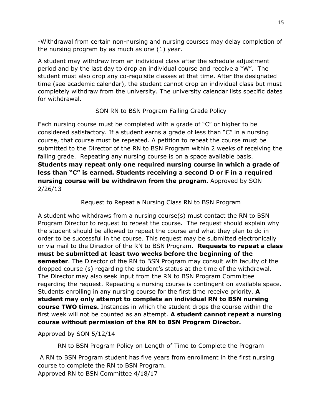-Withdrawal from certain non-nursing and nursing courses may delay completion of the nursing program by as much as one (1) year.

A student may withdraw from an individual class after the schedule adjustment period and by the last day to drop an individual course and receive a "W". The student must also drop any co-requisite classes at that time. After the designated time (see academic calendar), the student cannot drop an individual class but must completely withdraw from the university. The university calendar lists specific dates for withdrawal.

# SON RN to BSN Program Failing Grade Policy

Each nursing course must be completed with a grade of "C" or higher to be considered satisfactory. If a student earns a grade of less than "C" in a nursing course, that course must be repeated. A petition to repeat the course must be submitted to the Director of the RN to BSN Program within 2 weeks of receiving the failing grade. Repeating any nursing course is on a space available basis. **Students may repeat only one required nursing course in which a grade of less than "C" is earned. Students receiving a second D or F in a required nursing course will be withdrawn from the program.** Approved by SON 2/26/13

# Request to Repeat a Nursing Class RN to BSN Program

A student who withdraws from a nursing course(s) must contact the RN to BSN Program Director to request to repeat the course. The request should explain why the student should be allowed to repeat the course and what they plan to do in order to be successful in the course. This request may be submitted electronically or via mail to the Director of the RN to BSN Program**. Requests to repeat a class must be submitted at least two weeks before the beginning of the semester**. The Director of the RN to BSN Program may consult with faculty of the dropped course (s) regarding the student's status at the time of the withdrawal. The Director may also seek input from the RN to BSN Program Committee regarding the request. Repeating a nursing course is contingent on available space. Students enrolling in any nursing course for the first time receive priority. **A student may only attempt to complete an individual RN to BSN nursing course TWO times.** Instances in which the student drops the course within the first week will not be counted as an attempt. **A student cannot repeat a nursing course without permission of the RN to BSN Program Director.**

Approved by SON 5/12/14

RN to BSN Program Policy on Length of Time to Complete the Program

A RN to BSN Program student has five years from enrollment in the first nursing course to complete the RN to BSN Program. Approved RN to BSN Committee 4/18/17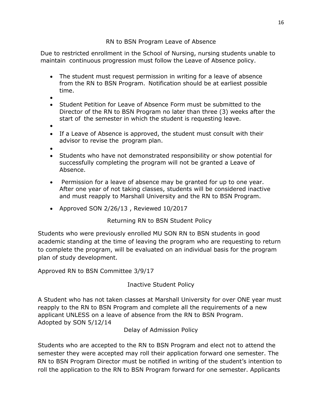## RN to BSN Program Leave of Absence

Due to restricted enrollment in the School of Nursing, nursing students unable to maintain continuous progression must follow the Leave of Absence policy.

- The student must request permission in writing for a leave of absence from the RN to BSN Program. Notification should be at earliest possible time.
- •
- Student Petition for Leave of Absence Form must be submitted to the Director of the RN to BSN Program no later than three (3) weeks after the start of the semester in which the student is requesting leave.
- •
- If a Leave of Absence is approved, the student must consult with their advisor to revise the program plan.
- •
- Students who have not demonstrated responsibility or show potential for successfully completing the program will not be granted a Leave of Absence.
- Permission for a leave of absence may be granted for up to one year. After one year of not taking classes, students will be considered inactive and must reapply to Marshall University and the RN to BSN Program.
- Approved SON 2/26/13 , Reviewed 10/2017

Returning RN to BSN Student Policy

Students who were previously enrolled MU SON RN to BSN students in good academic standing at the time of leaving the program who are requesting to return to complete the program, will be evaluated on an individual basis for the program plan of study development.

Approved RN to BSN Committee 3/9/17

Inactive Student Policy

A Student who has not taken classes at Marshall University for over ONE year must reapply to the RN to BSN Program and complete all the requirements of a new applicant UNLESS on a leave of absence from the RN to BSN Program. Adopted by SON 5/12/14

Delay of Admission Policy

Students who are accepted to the RN to BSN Program and elect not to attend the semester they were accepted may roll their application forward one semester. The RN to BSN Program Director must be notified in writing of the student's intention to roll the application to the RN to BSN Program forward for one semester. Applicants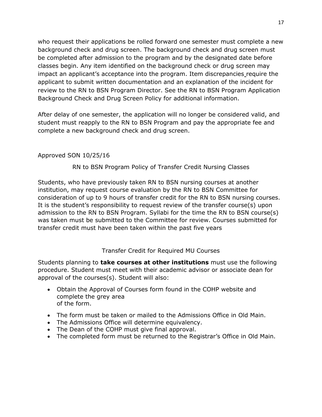who request their applications be rolled forward one semester must complete a new background check and drug screen. The background check and drug screen must be completed after admission to the program and by the designated date before classes begin. Any item identified on the background check or drug screen may impact an applicant's acceptance into the program. Item discrepancies require the applicant to submit written documentation and an explanation of the incident for review to the RN to BSN Program Director. See the RN to BSN Program Application Background Check and Drug Screen Policy for additional information.

After delay of one semester, the application will no longer be considered valid, and student must reapply to the RN to BSN Program and pay the appropriate fee and complete a new background check and drug screen.

## Approved SON 10/25/16

## RN to BSN Program Policy of Transfer Credit Nursing Classes

Students, who have previously taken RN to BSN nursing courses at another institution, may request course evaluation by the RN to BSN Committee for consideration of up to 9 hours of transfer credit for the RN to BSN nursing courses. It is the student's responsibility to request review of the transfer course(s) upon admission to the RN to BSN Program. Syllabi for the time the RN to BSN course(s) was taken must be submitted to the Committee for review. Courses submitted for transfer credit must have been taken within the past five years

#### Transfer Credit for Required MU Courses

Students planning to **take courses at other institutions** must use the following procedure. Student must meet with their academic advisor or associate dean for approval of the courses(s). Student will also:

- Obtain the Approval of Courses form found in the COHP website and complete the grey area of the form.
- The form must be taken or mailed to the Admissions Office in Old Main.
- The Admissions Office will determine equivalency.
- The Dean of the COHP must give final approval.
- The completed form must be returned to the Registrar's Office in Old Main.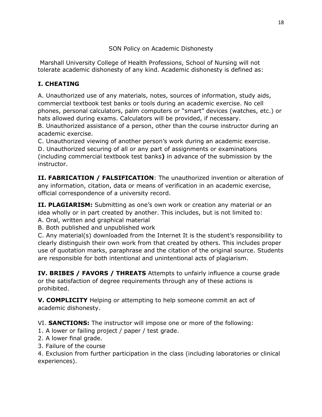# SON Policy on Academic Dishonesty

Marshall University College of Health Professions, School of Nursing will not tolerate academic dishonesty of any kind. Academic dishonesty is defined as:

# **I. CHEATING**

A. Unauthorized use of any materials, notes, sources of information, study aids, commercial textbook test banks or tools during an academic exercise. No cell phones, personal calculators, palm computers or "smart" devices (watches, etc.) or hats allowed during exams. Calculators will be provided, if necessary.

B. Unauthorized assistance of a person, other than the course instructor during an academic exercise.

C. Unauthorized viewing of another person's work during an academic exercise.

D. Unauthorized securing of all or any part of assignments or examinations (including commercial textbook test banks**)** in advance of the submission by the instructor.

**II. FABRICATION / FALSIFICATION**: The unauthorized invention or alteration of any information, citation, data or means of verification in an academic exercise, official correspondence of a university record.

**II. PLAGIARISM:** Submitting as one's own work or creation any material or an idea wholly or in part created by another. This includes, but is not limited to: A. Oral, written and graphical material

B. Both published and unpublished work

C. Any material(s) downloaded from the Internet It is the student's responsibility to clearly distinguish their own work from that created by others. This includes proper use of quotation marks, paraphrase and the citation of the original source. Students are responsible for both intentional and unintentional acts of plagiarism.

**IV. BRIBES / FAVORS / THREATS** Attempts to unfairly influence a course grade or the satisfaction of degree requirements through any of these actions is prohibited.

**V. COMPLICITY** Helping or attempting to help someone commit an act of academic dishonesty.

VI. **SANCTIONS:** The instructor will impose one or more of the following:

- 1. A lower or failing project / paper / test grade.
- 2. A lower final grade.
- 3. Failure of the course

4. Exclusion from further participation in the class (including laboratories or clinical experiences).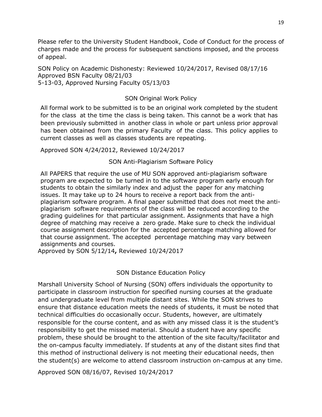Please refer to the University Student Handbook, Code of Conduct for the process of charges made and the process for subsequent sanctions imposed, and the process of appeal.

SON Policy on Academic Dishonesty: Reviewed 10/24/2017, Revised 08/17/16 Approved BSN Faculty 08/21/03 5-13-03, Approved Nursing Faculty 05/13/03

#### SON Original Work Policy

All formal work to be submitted is to be an original work completed by the student for the class at the time the class is being taken. This cannot be a work that has been previously submitted in another class in whole or part unless prior approval has been obtained from the primary Faculty of the class. This policy applies to current classes as well as classes students are repeating.

Approved SON 4/24/2012, Reviewed 10/24/2017

#### SON Anti-Plagiarism Software Policy

All PAPERS that require the use of MU SON approved anti-plagiarism software program are expected to be turned in to the software program early enough for students to obtain the similarly index and adjust the paper for any matching issues. It may take up to 24 hours to receive a report back from the antiplagiarism software program. A final paper submitted that does not meet the antiplagiarism software requirements of the class will be reduced according to the grading guidelines for that particular assignment. Assignments that have a high degree of matching may receive a zero grade. Make sure to check the individual course assignment description for the accepted percentage matching allowed for that course assignment. The accepted percentage matching may vary between assignments and courses.

Approved by SON 5/12/14**,** Reviewed 10/24/2017

#### SON Distance Education Policy

Marshall University School of Nursing (SON) offers individuals the opportunity to participate in classroom instruction for specified nursing courses at the graduate and undergraduate level from multiple distant sites. While the SON strives to ensure that distance education meets the needs of students, it must be noted that technical difficulties do occasionally occur. Students, however, are ultimately responsible for the course content, and as with any missed class it is the student's responsibility to get the missed material. Should a student have any specific problem, these should be brought to the attention of the site faculty/facilitator and the on-campus faculty immediately. If students at any of the distant sites find that this method of instructional delivery is not meeting their educational needs, then the student(s) are welcome to attend classroom instruction on-campus at any time.

Approved SON 08/16/07, Revised 10/24/2017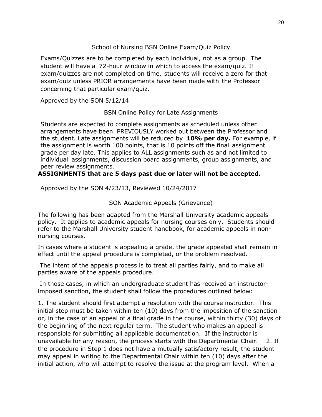#### School of Nursing BSN Online Exam/Quiz Policy

Exams/Quizzes are to be completed by each individual, not as a group. The student will have a 72-hour window in which to access the exam/quiz. If exam/quizzes are not completed on time, students will receive a zero for that exam/quiz unless PRIOR arrangements have been made with the Professor concerning that particular exam/quiz.

Approved by the SON 5/12/14

BSN Online Policy for Late Assignments

Students are expected to complete assignments as scheduled unless other arrangements have been PREVIOUSLY worked out between the Professor and the student. Late assignments will be reduced by **10% per day.** For example, if the assignment is worth 100 points, that is 10 points off the final assignment grade per day late. This applies to ALL assignments such as and not limited to individual assignments, discussion board assignments, group assignments, and peer review assignments.

#### **ASSIGNMENTS that are 5 days past due or later will not be accepted.**

Approved by the SON 4/23/13, Reviewed 10/24/2017

## SON Academic Appeals (Grievance)

The following has been adapted from the Marshall University academic appeals policy. It applies to academic appeals for nursing courses only. Students should refer to the Marshall University student handbook, for academic appeals in nonnursing courses.

In cases where a student is appealing a grade, the grade appealed shall remain in effect until the appeal procedure is completed, or the problem resolved.

The intent of the appeals process is to treat all parties fairly, and to make all parties aware of the appeals procedure.

In those cases, in which an undergraduate student has received an instructorimposed sanction, the student shall follow the procedures outlined below:

1. The student should first attempt a resolution with the course instructor. This initial step must be taken within ten (10) days from the imposition of the sanction or, in the case of an appeal of a final grade in the course, within thirty (30) days of the beginning of the next regular term. The student who makes an appeal is responsible for submitting all applicable documentation. If the instructor is unavailable for any reason, the process starts with the Departmental Chair. 2. If the procedure in Step 1 does not have a mutually satisfactory result, the student may appeal in writing to the Departmental Chair within ten (10) days after the initial action, who will attempt to resolve the issue at the program level. When a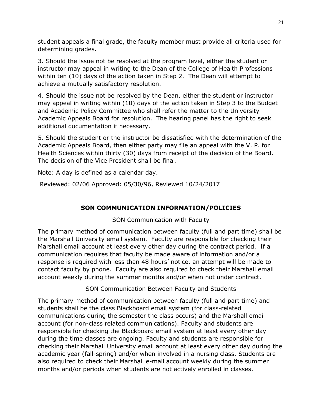student appeals a final grade, the faculty member must provide all criteria used for determining grades.

3. Should the issue not be resolved at the program level, either the student or instructor may appeal in writing to the Dean of the College of Health Professions within ten (10) days of the action taken in Step 2. The Dean will attempt to achieve a mutually satisfactory resolution.

4. Should the issue not be resolved by the Dean, either the student or instructor may appeal in writing within (10) days of the action taken in Step 3 to the Budget and Academic Policy Committee who shall refer the matter to the University Academic Appeals Board for resolution. The hearing panel has the right to seek additional documentation if necessary.

5. Should the student or the instructor be dissatisfied with the determination of the Academic Appeals Board, then either party may file an appeal with the V. P. for Health Sciences within thirty (30) days from receipt of the decision of the Board. The decision of the Vice President shall be final.

Note: A day is defined as a calendar day.

Reviewed: 02/06 Approved: 05/30/96, Reviewed 10/24/2017

# **SON COMMUNICATION INFORMATION/POLICIES**

SON Communication with Faculty

The primary method of communication between faculty (full and part time) shall be the Marshall University email system. Faculty are responsible for checking their Marshall email account at least every other day during the contract period. If a communication requires that faculty be made aware of information and/or a response is required with less than 48 hours' notice, an attempt will be made to contact faculty by phone. Faculty are also required to check their Marshall email account weekly during the summer months and/or when not under contract.

SON Communication Between Faculty and Students

The primary method of communication between faculty (full and part time) and students shall be the class Blackboard email system (for class-related communications during the semester the class occurs) and the Marshall email account (for non-class related communications). Faculty and students are responsible for checking the Blackboard email system at least every other day during the time classes are ongoing. Faculty and students are responsible for checking their Marshall University email account at least every other day during the academic year (fall-spring) and/or when involved in a nursing class. Students are also required to check their Marshall e-mail account weekly during the summer months and/or periods when students are not actively enrolled in classes.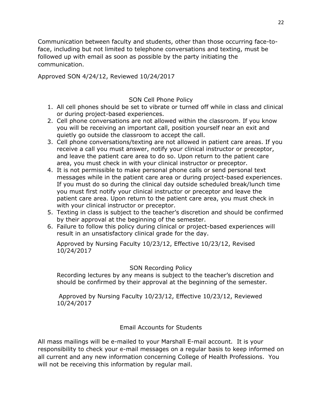Communication between faculty and students, other than those occurring face-toface, including but not limited to telephone conversations and texting, must be followed up with email as soon as possible by the party initiating the communication.

Approved SON 4/24/12, Reviewed 10/24/2017

#### SON Cell Phone Policy

- 1. All cell phones should be set to vibrate or turned off while in class and clinical or during project-based experiences.
- 2. Cell phone conversations are not allowed within the classroom. If you know you will be receiving an important call, position yourself near an exit and quietly go outside the classroom to accept the call.
- 3. Cell phone conversations/texting are not allowed in patient care areas. If you receive a call you must answer, notify your clinical instructor or preceptor, and leave the patient care area to do so. Upon return to the patient care area, you must check in with your clinical instructor or preceptor.
- 4. It is not permissible to make personal phone calls or send personal text messages while in the patient care area or during project-based experiences. If you must do so during the clinical day outside scheduled break/lunch time you must first notify your clinical instructor or preceptor and leave the patient care area. Upon return to the patient care area, you must check in with your clinical instructor or preceptor.
- 5. Texting in class is subject to the teacher's discretion and should be confirmed by their approval at the beginning of the semester.
- 6. Failure to follow this policy during clinical or project-based experiences will result in an unsatisfactory clinical grade for the day.

Approved by Nursing Faculty 10/23/12, Effective 10/23/12, Revised 10/24/2017

#### SON Recording Policy

Recording lectures by any means is subject to the teacher's discretion and should be confirmed by their approval at the beginning of the semester.

Approved by Nursing Faculty 10/23/12, Effective 10/23/12, Reviewed 10/24/2017

#### Email Accounts for Students

All mass mailings will be e-mailed to your Marshall E-mail account. It is your responsibility to check your e-mail messages on a regular basis to keep informed on all current and any new information concerning College of Health Professions. You will not be receiving this information by regular mail.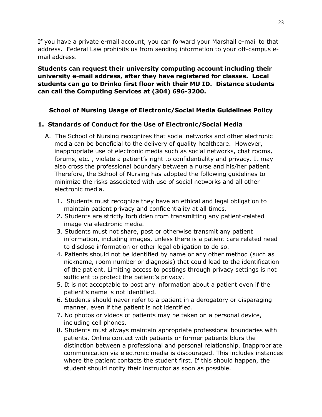If you have a private e-mail account, you can forward your Marshall e-mail to that address. Federal Law prohibits us from sending information to your off-campus email address.

**Students can request their university computing account including their university e-mail address, after they have registered for classes. Local students can go to Drinko first floor with their MU ID. Distance students can call the Computing Services at (304) 696-3200.** 

## **School of Nursing Usage of Electronic/Social Media Guidelines Policy**

#### **1. Standards of Conduct for the Use of Electronic/Social Media**

- A. The School of Nursing recognizes that social networks and other electronic media can be beneficial to the delivery of quality healthcare. However, inappropriate use of electronic media such as social networks, chat rooms, forums, etc. , violate a patient's right to confidentiality and privacy. It may also cross the professional boundary between a nurse and his/her patient. Therefore, the School of Nursing has adopted the following guidelines to minimize the risks associated with use of social networks and all other electronic media.
	- 1. Students must recognize they have an ethical and legal obligation to maintain patient privacy and confidentiality at all times.
	- 2. Students are strictly forbidden from transmitting any patient-related image via electronic media.
	- 3. Students must not share, post or otherwise transmit any patient information, including images, unless there is a patient care related need to disclose information or other legal obligation to do so.
	- 4. Patients should not be identified by name or any other method (such as nickname, room number or diagnosis) that could lead to the identification of the patient. Limiting access to postings through privacy settings is not sufficient to protect the patient's privacy.
	- 5. It is not acceptable to post any information about a patient even if the patient's name is not identified.
	- 6. Students should never refer to a patient in a derogatory or disparaging manner, even if the patient is not identified.
	- 7. No photos or videos of patients may be taken on a personal device, including cell phones.
	- 8. Students must always maintain appropriate professional boundaries with patients. Online contact with patients or former patients blurs the distinction between a professional and personal relationship. Inappropriate communication via electronic media is discouraged. This includes instances where the patient contacts the student first. If this should happen, the student should notify their instructor as soon as possible.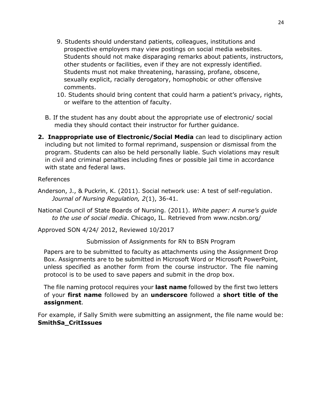- 9. Students should understand patients, colleagues, institutions and prospective employers may view postings on social media websites. Students should not make disparaging remarks about patients, instructors, other students or facilities, even if they are not expressly identified. Students must not make threatening, harassing, profane, obscene, sexually explicit, racially derogatory, homophobic or other offensive comments.
- 10. Students should bring content that could harm a patient's privacy, rights, or welfare to the attention of faculty.
- B. If the student has any doubt about the appropriate use of electronic/ social media they should contact their instructor for further guidance.
- **2. Inappropriate use of Electronic/Social Media** can lead to disciplinary action including but not limited to formal reprimand, suspension or dismissal from the program. Students can also be held personally liable. Such violations may result in civil and criminal penalties including fines or possible jail time in accordance with state and federal laws.

#### References

- Anderson, J., & Puckrin, K. (2011). Social network use: A test of self-regulation. *Journal of Nursing Regulation, 2*(1), 36-41.
- National Council of State Boards of Nursing. (2011). *White paper: A nurse's guide to the use of social media*. Chicago, IL. Retrieved from www.ncsbn.org/

Approved SON 4/24/ 2012, Reviewed 10/2017

Submission of Assignments for RN to BSN Program

Papers are to be submitted to faculty as attachments using the Assignment Drop Box. Assignments are to be submitted in Microsoft Word or Microsoft PowerPoint, unless specified as another form from the course instructor. The file naming protocol is to be used to save papers and submit in the drop box.

The file naming protocol requires your **last name** followed by the first two letters of your **first name** followed by an **underscore** followed a **short title of the assignment**.

For example, if Sally Smith were submitting an assignment, the file name would be: **SmithSa\_CritIssues**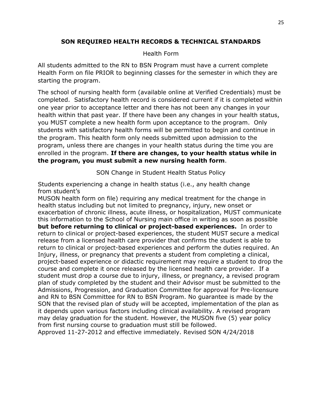#### **SON REQUIRED HEALTH RECORDS & TECHNICAL STANDARDS**

#### Health Form

All students admitted to the RN to BSN Program must have a current complete Health Form on file PRIOR to beginning classes for the semester in which they are starting the program.

The school of nursing health form (available online at Verified Credentials) must be completed. Satisfactory health record is considered current if it is completed within one year prior to acceptance letter and there has not been any changes in your health within that past year. If there have been any changes in your health status, you MUST complete a new health form upon acceptance to the program. Only students with satisfactory health forms will be permitted to begin and continue in the program. This health form only needs submitted upon admission to the program, unless there are changes in your health status during the time you are enrolled in the program. **If there are changes, to your health status while in the program, you must submit a new nursing health form**.

SON Change in Student Health Status Policy

Students experiencing a change in health status (i.e., any health change from student's

MUSON health form on file) requiring any medical treatment for the change in health status including but not limited to pregnancy, injury, new onset or exacerbation of chronic illness, acute illness, or hospitalization, MUST communicate this information to the School of Nursing main office in writing as soon as possible **but before returning to clinical or project-based experiences.** In order to return to clinical or project-based experiences, the student MUST secure a medical release from a licensed health care provider that confirms the student is able to return to clinical or project-based experiences and perform the duties required. An Injury, illness, or pregnancy that prevents a student from completing a clinical, project-based experience or didactic requirement may require a student to drop the course and complete it once released by the licensed health care provider. If a student must drop a course due to injury, illness, or pregnancy, a revised program plan of study completed by the student and their Advisor must be submitted to the Admissions, Progression, and Graduation Committee for approval for Pre-licensure and RN to BSN Committee for RN to BSN Program. No guarantee is made by the SON that the revised plan of study will be accepted, implementation of the plan as it depends upon various factors including clinical availability. A revised program may delay graduation for the student. However, the MUSON five (5) year policy from first nursing course to graduation must still be followed. Approved 11-27-2012 and effective immediately. Revised SON 4/24/2018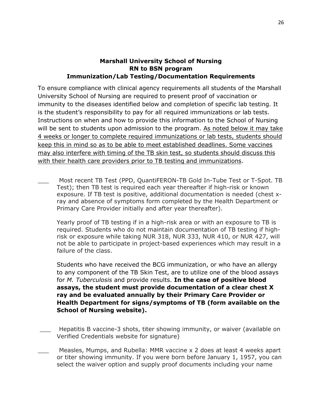#### **Marshall University School of Nursing RN to BSN program Immunization/Lab Testing/Documentation Requirements**

To ensure compliance with clinical agency requirements all students of the Marshall University School of Nursing are required to present proof of vaccination or immunity to the diseases identified below and completion of specific lab testing. It is the student's responsibility to pay for all required immunizations or lab tests. Instructions on when and how to provide this information to the School of Nursing will be sent to students upon admission to the program. As noted below it may take 4 weeks or longer to complete required immunizations or lab tests, students should keep this in mind so as to be able to meet established deadlines. Some vaccines may also interfere with timing of the TB skin test, so students should discuss this with their health care providers prior to TB testing and immunizations.

Most recent TB Test (PPD, QuantiFERON-TB Gold In-Tube Test or T-Spot. TB Test); then TB test is required each year thereafter if high-risk or known exposure. If TB test is positive, additional documentation is needed (chest xray and absence of symptoms form completed by the Health Department or Primary Care Provider initially and after year thereafter).

Yearly proof of TB testing if in a high-risk area or with an exposure to TB is required. Students who do not maintain documentation of TB testing if highrisk or exposure while taking NUR 318, NUR 333, NUR 410, or NUR 427, will not be able to participate in project-based experiences which may result in a failure of the class.

Students who have received the BCG immunization, or who have an allergy to any component of the TB Skin Test, are to utilize one of the blood assays for *M. Tuberculosis* and provide results. **In the case of positive blood assays, the student must provide documentation of a clear chest X ray and be evaluated annually by their Primary Care Provider or Health Department for signs/symptoms of TB (form available on the School of Nursing website).** 

- Hepatitis B vaccine-3 shots, titer showing immunity, or waiver (available on Verified Credentials website for signature)
- Measles, Mumps, and Rubella: MMR vaccine x 2 does at least 4 weeks apart or titer showing immunity. If you were born before January 1, 1957, you can select the waiver option and supply proof documents including your name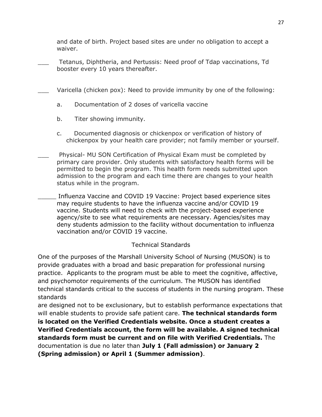and date of birth. Project based sites are under no obligation to accept a waiver.

- \_\_\_ Tetanus, Diphtheria, and Pertussis: Need proof of Tdap vaccinations, Td booster every 10 years thereafter.
- Varicella (chicken pox): Need to provide immunity by one of the following:
	- a. Documentation of 2 doses of varicella vaccine
	- b. Titer showing immunity.
	- c. Documented diagnosis or chickenpox or verification of history of chickenpox by your health care provider; not family member or yourself.
- \_\_\_ Physical- MU SON Certification of Physical Exam must be completed by primary care provider. Only students with satisfactory health forms will be permitted to begin the program. This health form needs submitted upon admission to the program and each time there are changes to your health status while in the program.
- \_\_\_\_\_ Influenza Vaccine and COVID 19 Vaccine: Project based experience sites may require students to have the influenza vaccine and/or COVID 19 vaccine. Students will need to check with the project-based experience agency/site to see what requirements are necessary. Agencies/sites may deny students admission to the facility without documentation to influenza vaccination and/or COVID 19 vaccine.

# Technical Standards

One of the purposes of the Marshall University School of Nursing (MUSON) is to provide graduates with a broad and basic preparation for professional nursing practice. Applicants to the program must be able to meet the cognitive, affective, and psychomotor requirements of the curriculum. The MUSON has identified technical standards critical to the success of students in the nursing program. These standards

are designed not to be exclusionary, but to establish performance expectations that will enable students to provide safe patient care. **The technical standards form is located on the Verified Credentials website. Once a student creates a Verified Credentials account, the form will be available. A signed technical standards form must be current and on file with Verified Credentials.** The documentation is due no later than **July 1 (Fall admission) or January 2 (Spring admission) or April 1 (Summer admission)**.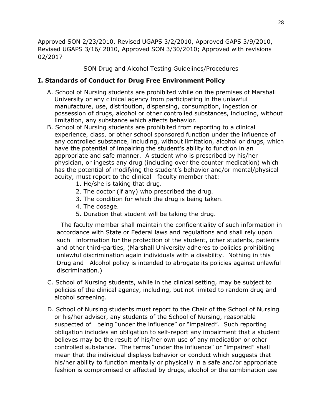Approved SON 2/23/2010, Revised UGAPS 3/2/2010, Approved GAPS 3/9/2010, Revised UGAPS 3/16/ 2010, Approved SON 3/30/2010; Approved with revisions 02/2017

SON Drug and Alcohol Testing Guidelines/Procedures

#### **I. Standards of Conduct for Drug Free Environment Policy**

- A. School of Nursing students are prohibited while on the premises of Marshall University or any clinical agency from participating in the unlawful manufacture, use, distribution, dispensing, consumption, ingestion or possession of drugs, alcohol or other controlled substances, including, without limitation, any substance which affects behavior.
- B. School of Nursing students are prohibited from reporting to a clinical experience, class, or other school sponsored function under the influence of any controlled substance, including, without limitation, alcohol or drugs, which have the potential of impairing the student's ability to function in an appropriate and safe manner. A student who is prescribed by his/her physician, or ingests any drug (including over the counter medication) which has the potential of modifying the student's behavior and/or mental/physical acuity, must report to the clinical faculty member that:
	- 1. He/she is taking that drug.
	- 2. The doctor (if any) who prescribed the drug.
	- 3. The condition for which the drug is being taken.
	- 4. The dosage.
	- 5. Duration that student will be taking the drug.

 The faculty member shall maintain the confidentiality of such information in accordance with State or Federal laws and regulations and shall rely upon such information for the protection of the student, other students, patients and other third-parties, (Marshall University adheres to policies prohibiting unlawful discrimination again individuals with a disability. Nothing in this Drug and Alcohol policy is intended to abrogate its policies against unlawful discrimination.)

- C. School of Nursing students, while in the clinical setting, may be subject to policies of the clinical agency, including, but not limited to random drug and alcohol screening.
- D. School of Nursing students must report to the Chair of the School of Nursing or his/her advisor, any students of the School of Nursing, reasonable suspected of being "under the influence" or "impaired". Such reporting obligation includes an obligation to self-report any impairment that a student believes may be the result of his/her own use of any medication or other controlled substance. The terms "under the influence" or "impaired" shall mean that the individual displays behavior or conduct which suggests that his/her ability to function mentally or physically in a safe and/or appropriate fashion is compromised or affected by drugs, alcohol or the combination use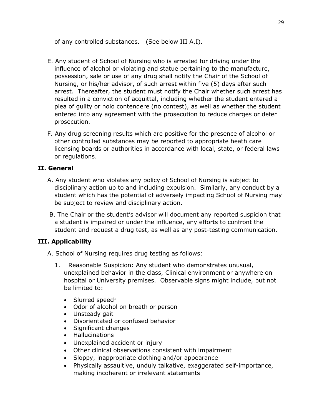of any controlled substances. (See below III A,I).

- E. Any student of School of Nursing who is arrested for driving under the influence of alcohol or violating and statue pertaining to the manufacture, possession, sale or use of any drug shall notify the Chair of the School of Nursing, or his/her advisor, of such arrest within five (5) days after such arrest. Thereafter, the student must notify the Chair whether such arrest has resulted in a conviction of acquittal, including whether the student entered a plea of guilty or nolo contendere (no contest), as well as whether the student entered into any agreement with the prosecution to reduce charges or defer prosecution.
- F. Any drug screening results which are positive for the presence of alcohol or other controlled substances may be reported to appropriate heath care licensing boards or authorities in accordance with local, state, or federal laws or regulations.

# **II. General**

- A. Any student who violates any policy of School of Nursing is subject to disciplinary action up to and including expulsion. Similarly, any conduct by a student which has the potential of adversely impacting School of Nursing may be subject to review and disciplinary action.
- B. The Chair or the student's advisor will document any reported suspicion that a student is impaired or under the influence, any efforts to confront the student and request a drug test, as well as any post-testing communication.

# **III. Applicability**

- A. School of Nursing requires drug testing as follows:
	- 1. Reasonable Suspicion: Any student who demonstrates unusual, unexplained behavior in the class, Clinical environment or anywhere on hospital or University premises. Observable signs might include, but not be limited to:
		- Slurred speech
		- Odor of alcohol on breath or person
		- Unsteady gait
		- Disorientated or confused behavior
		- Significant changes
		- Hallucinations
		- Unexplained accident or injury
		- Other clinical observations consistent with impairment
		- Sloppy, inappropriate clothing and/or appearance
		- Physically assaultive, unduly talkative, exaggerated self-importance, making incoherent or irrelevant statements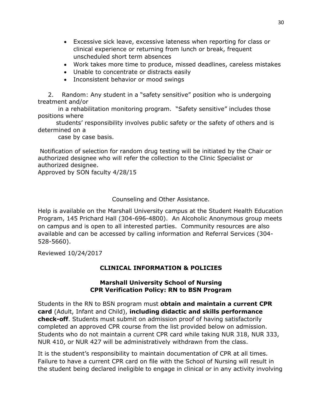- Excessive sick leave, excessive lateness when reporting for class or clinical experience or returning from lunch or break, frequent unscheduled short term absences
- Work takes more time to produce, missed deadlines, careless mistakes
- Unable to concentrate or distracts easily
- Inconsistent behavior or mood swings

 2. Random: Any student in a "safety sensitive" position who is undergoing treatment and/or

 in a rehabilitation monitoring program. "Safety sensitive" includes those positions where

 students' responsibility involves public safety or the safety of others and is determined on a

case by case basis.

Notification of selection for random drug testing will be initiated by the Chair or authorized designee who will refer the collection to the Clinic Specialist or authorized designee.

Approved by SON faculty 4/28/15

Counseling and Other Assistance.

Help is available on the Marshall University campus at the Student Health Education Program, 145 Prichard Hall (304-696-4800). An Alcoholic Anonymous group meets on campus and is open to all interested parties. Community resources are also available and can be accessed by calling information and Referral Services (304- 528-5660).

Reviewed 10/24/2017

# **CLINICAL INFORMATION & POLICIES**

#### **Marshall University School of Nursing CPR Verification Policy: RN to BSN Program**

Students in the RN to BSN program must **obtain and maintain a current CPR card** (Adult, Infant and Child), **including didactic and skills performance check-off**. Students must submit on admission proof of having satisfactorily completed an approved CPR course from the list provided below on admission. Students who do not maintain a current CPR card while taking NUR 318, NUR 333, NUR 410, or NUR 427 will be administratively withdrawn from the class.

It is the student's responsibility to maintain documentation of CPR at all times. Failure to have a current CPR card on file with the School of Nursing will result in the student being declared ineligible to engage in clinical or in any activity involving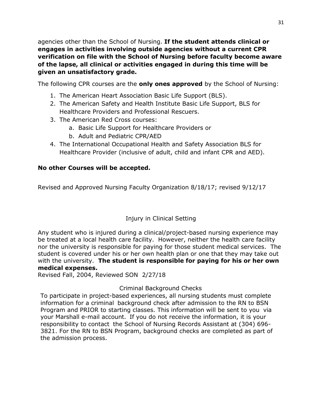agencies other than the School of Nursing. **If the student attends clinical or engages in activities involving outside agencies without a current CPR verification on file with the School of Nursing before faculty become aware of the lapse, all clinical or activities engaged in during this time will be given an unsatisfactory grade.**

The following CPR courses are the **only ones approved** by the School of Nursing:

- 1. The American Heart Association Basic Life Support (BLS).
- 2. The American Safety and Health Institute Basic Life Support, BLS for Healthcare Providers and Professional Rescuers.
- 3. The American Red Cross courses:
	- a. Basic Life Support for Healthcare Providers or
	- b. Adult and Pediatric CPR/AED
- 4. The International Occupational Health and Safety Association BLS for Healthcare Provider (inclusive of adult, child and infant CPR and AED).

## **No other Courses will be accepted.**

Revised and Approved Nursing Faculty Organization 8/18/17; revised 9/12/17

# Injury in Clinical Setting

Any student who is injured during a clinical/project-based nursing experience may be treated at a local health care facility. However, neither the health care facility nor the university is responsible for paying for those student medical services. The student is covered under his or her own health plan or one that they may take out with the university. **The student is responsible for paying for his or her own medical expenses.** 

Revised Fall, 2004, Reviewed SON 2/27/18

#### Criminal Background Checks

To participate in project-based experiences, all nursing students must complete information for a criminal background check after admission to the RN to BSN Program and PRIOR to starting classes. This information will be sent to you via your Marshall e-mail account. If you do not receive the information, it is your responsibility to contact the School of Nursing Records Assistant at (304) 696- 3821. For the RN to BSN Program, background checks are completed as part of the admission process.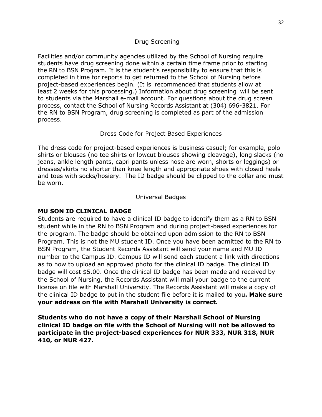#### Drug Screening

Facilities and/or community agencies utilized by the School of Nursing require students have drug screening done within a certain time frame prior to starting the RN to BSN Program. It is the student's responsibility to ensure that this is completed in time for reports to get returned to the School of Nursing before project-based experiences begin. (It is recommended that students allow at least 2 weeks for this processing.) Information about drug screening will be sent to students via the Marshall e-mail account. For questions about the drug screen process, contact the School of Nursing Records Assistant at (304) 696-3821. For the RN to BSN Program, drug screening is completed as part of the admission process.

#### Dress Code for Project Based Experiences

The dress code for project-based experiences is business casual; for example, polo shirts or blouses (no tee shirts or lowcut blouses showing cleavage), long slacks (no jeans, ankle length pants, capri pants unless hose are worn, shorts or leggings) or dresses/skirts no shorter than knee length and appropriate shoes with closed heels and toes with socks/hosiery. The ID badge should be clipped to the collar and must be worn.

#### Universal Badges

#### **MU SON ID CLINICAL BADGE**

Students are required to have a clinical ID badge to identify them as a RN to BSN student while in the RN to BSN Program and during project-based experiences for the program. The badge should be obtained upon admission to the RN to BSN Program. This is not the MU student ID. Once you have been admitted to the RN to BSN Program, the Student Records Assistant will send your name and MU ID number to the Campus ID. Campus ID will send each student a link with directions as to how to upload an approved photo for the clinical ID badge. The clinical ID badge will cost \$5.00. Once the clinical ID badge has been made and received by the School of Nursing, the Records Assistant will mail your badge to the current license on file with Marshall University. The Records Assistant will make a copy of the clinical ID badge to put in the student file before it is mailed to you**. Make sure your address on file with Marshall University is correct.**

**Students who do not have a copy of their Marshall School of Nursing clinical ID badge on file with the School of Nursing will not be allowed to participate in the project-based experiences for NUR 333, NUR 318, NUR 410, or NUR 427.**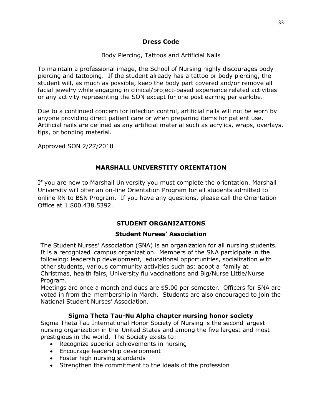#### **Dress Code**

#### Body Piercing, Tattoos and Artificial Nails

To maintain a professional image, the School of Nursing highly discourages body piercing and tattooing. If the student already has a tattoo or body piercing, the student will, as much as possible, keep the body part covered and/or remove all facial jewelry while engaging in clinical/project-based experience related activities or any activity representing the SON except for one post earring per earlobe.

Due to a continued concern for infection control, artificial nails will not be worn by anyone providing direct patient care or when preparing items for patient use. Artificial nails are defined as any artificial material such as acrylics, wraps, overlays, tips, or bonding material.

Approved SON 2/27/2018

#### **MARSHALL UNIVERSTITY ORIENTATION**

If you are new to Marshall University you must complete the orientation. Marshall University will offer an on-line Orientation Program for all students admitted to online RN to BSN Program. If you have any questions, please call the Orientation Office at 1.800.438.5392.

# **STUDENT ORGANIZATIONS**

#### **Student Nurses' Association**

The Student Nurses' Association (SNA) is an organization for all nursing students. It is a recognized campus organization. Members of the SNA participate in the following: leadership development, educational opportunities, socialization with other students, various community activities such as: adopt a family at Christmas, health fairs, University flu vaccinations and Big/Nurse Little/Nurse Program.

Meetings are once a month and dues are \$5.00 per semester. Officers for SNA are voted in from the membership in March. Students are also encouraged to join the National Student Nurses' Association.

#### **Sigma Theta Tau-Nu Alpha chapter nursing honor society**

Sigma Theta Tau International Honor Society of Nursing is the second largest nursing organization in the United States and among the five largest and most prestigious in the world. The Society exists to:

- Recognize superior achievements in nursing
- Encourage leadership development
- Foster high nursing standards
- Strengthen the commitment to the ideals of the profession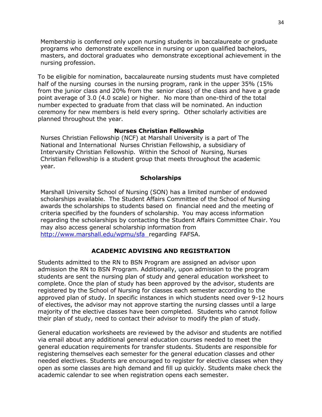Membership is conferred only upon nursing students in baccalaureate or graduate programs who demonstrate excellence in nursing or upon qualified bachelors, masters, and doctoral graduates who demonstrate exceptional achievement in the nursing profession.

To be eligible for nomination, baccalaureate nursing students must have completed half of the nursing courses in the nursing program, rank in the upper 35% (15% from the junior class and 20% from the senior class) of the class and have a grade point average of 3.0 (4.0 scale) or higher. No more than one-third of the total number expected to graduate from that class will be nominated. An induction ceremony for new members is held every spring. Other scholarly activities are planned throughout the year.

#### **Nurses Christian Fellowship**

Nurses Christian Fellowship (NCF) at Marshall University is a part of The National and International Nurses Christian Fellowship, a subsidiary of Intervarsity Christian Fellowship. Within the School of Nursing, Nurses Christian Fellowship is a student group that meets throughout the academic year.

#### **Scholarships**

Marshall University School of Nursing (SON) has a limited number of endowed scholarships available. The Student Affairs Committee of the School of Nursing awards the scholarships to students based on financial need and the meeting of criteria specified by the founders of scholarship. You may access information regarding the scholarships by contacting the Student Affairs Committee Chair. You may also access general scholarship information from <http://www.marshall.edu/wpmu/sfa> regarding FAFSA.

#### **ACADEMIC ADVISING AND REGISTRATION**

Students admitted to the RN to BSN Program are assigned an advisor upon admission the RN to BSN Program. Additionally, upon admission to the program students are sent the nursing plan of study and general education worksheet to complete. Once the plan of study has been approved by the advisor, students are registered by the School of Nursing for classes each semester according to the approved plan of study. In specific instances in which students need over 9-12 hours of electives, the advisor may not approve starting the nursing classes until a large majority of the elective classes have been completed. Students who cannot follow their plan of study, need to contact their advisor to modify the plan of study.

General education worksheets are reviewed by the advisor and students are notified via email about any additional general education courses needed to meet the general education requirements for transfer students. Students are responsible for registering themselves each semester for the general education classes and other needed electives. Students are encouraged to register for elective classes when they open as some classes are high demand and fill up quickly. Students make check the academic calendar to see when registration opens each semester.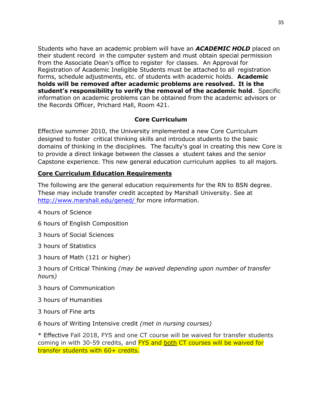Students who have an academic problem will have an *ACADEMIC HOLD* placed on their student record in the computer system and must obtain special permission from the Associate Dean's office to register for classes. An Approval for Registration of Academic Ineligible Students must be attached to all registration forms, schedule adjustments, etc. of students with academic holds. **Academic holds will be removed after academic problems are resolved. It is the student's responsibility to verify the removal of the academic hold**. Specific information on academic problems can be obtained from the academic advisors or the Records Officer, Prichard Hall, Room 421.

#### **Core Curriculum**

Effective summer 2010, the University implemented a new Core Curriculum designed to foster critical thinking skills and introduce students to the basic domains of thinking in the disciplines. The faculty's goal in creating this new Core is to provide a direct linkage between the classes a student takes and the senior Capstone experience. This new general education curriculum applies to all majors.

#### **Core Curriculum Education Requirements**

The following are the general education requirements for the RN to BSN degree. These may include transfer credit accepted by Marshall University. See at <http://www.marshall.edu/gened/> for more information.

- 4 hours of Science
- 6 hours of English Composition
- 3 hours of Social Sciences
- 3 hours of Statistics
- 3 hours of Math (121 or higher)
- 3 hours of Critical Thinking *(may be waived depending upon number of transfer hours)*
- 3 hours of Communication
- 3 hours of Humanities
- 3 hours of Fine arts
- 6 hours of Writing Intensive credit *(met in nursing courses)*

\* Effective Fall 2018, FYS and one CT course will be waived for transfer students coming in with 30-59 credits, and FYS and both CT courses will be waived for transfer students with 60+ credits.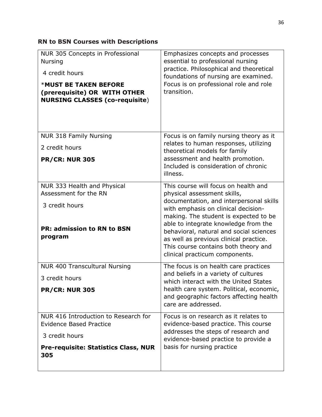# **RN to BSN Courses with Descriptions**

| NUR 305 Concepts in Professional<br><b>Nursing</b><br>4 credit hours<br><b>*MUST BE TAKEN BEFORE</b><br>(prerequisite) OR WITH OTHER<br><b>NURSING CLASSES (co-requisite)</b> | Emphasizes concepts and processes<br>essential to professional nursing<br>practice. Philosophical and theoretical<br>foundations of nursing are examined.<br>Focus is on professional role and role<br>transition.                                                                                                             |
|-------------------------------------------------------------------------------------------------------------------------------------------------------------------------------|--------------------------------------------------------------------------------------------------------------------------------------------------------------------------------------------------------------------------------------------------------------------------------------------------------------------------------|
| <b>NUR 318 Family Nursing</b>                                                                                                                                                 | Focus is on family nursing theory as it<br>relates to human responses, utilizing                                                                                                                                                                                                                                               |
| 2 credit hours                                                                                                                                                                | theoretical models for family<br>assessment and health promotion.                                                                                                                                                                                                                                                              |
| <b>PR/CR: NUR 305</b>                                                                                                                                                         | Included is consideration of chronic<br>illness.                                                                                                                                                                                                                                                                               |
| NUR 333 Health and Physical<br>Assessment for the RN                                                                                                                          | This course will focus on health and<br>physical assessment skills,                                                                                                                                                                                                                                                            |
| 3 credit hours<br><b>PR: admission to RN to BSN</b><br>program                                                                                                                | documentation, and interpersonal skills<br>with emphasis on clinical decision-<br>making. The student is expected to be<br>able to integrate knowledge from the<br>behavioral, natural and social sciences<br>as well as previous clinical practice.<br>This course contains both theory and<br>clinical practicum components. |
| <b>NUR 400 Transcultural Nursing</b>                                                                                                                                          | The focus is on health care practices                                                                                                                                                                                                                                                                                          |
| 3 credit hours                                                                                                                                                                | and beliefs in a variety of cultures<br>which interact with the United States                                                                                                                                                                                                                                                  |
| <b>PR/CR: NUR 305</b>                                                                                                                                                         | health care system. Political, economic,<br>and geographic factors affecting health<br>care are addressed.                                                                                                                                                                                                                     |
| NUR 416 Introduction to Research for<br><b>Evidence Based Practice</b>                                                                                                        | Focus is on research as it relates to<br>evidence-based practice. This course                                                                                                                                                                                                                                                  |
| 3 credit hours                                                                                                                                                                | addresses the steps of research and<br>evidence-based practice to provide a                                                                                                                                                                                                                                                    |
| <b>Pre-requisite: Statistics Class, NUR</b><br>305                                                                                                                            | basis for nursing practice                                                                                                                                                                                                                                                                                                     |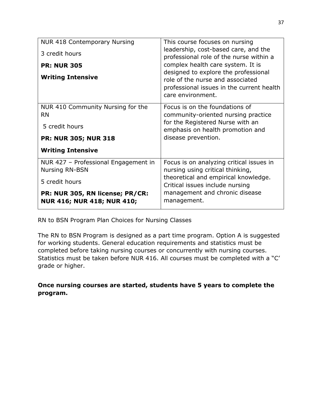| <b>NUR 418 Contemporary Nursing</b><br>3 credit hours<br><b>PR: NUR 305</b><br><b>Writing Intensive</b>                                                 | This course focuses on nursing<br>leadership, cost-based care, and the<br>professional role of the nurse within a<br>complex health care system. It is<br>designed to explore the professional<br>role of the nurse and associated<br>professional issues in the current health<br>care environment. |
|---------------------------------------------------------------------------------------------------------------------------------------------------------|------------------------------------------------------------------------------------------------------------------------------------------------------------------------------------------------------------------------------------------------------------------------------------------------------|
| NUR 410 Community Nursing for the<br><b>RN</b><br>5 credit hours<br><b>PR: NUR 305; NUR 318</b><br><b>Writing Intensive</b>                             | Focus is on the foundations of<br>community-oriented nursing practice<br>for the Registered Nurse with an<br>emphasis on health promotion and<br>disease prevention.                                                                                                                                 |
| NUR 427 - Professional Engagement in<br><b>Nursing RN-BSN</b><br>5 credit hours<br>PR: NUR 305, RN license; PR/CR:<br><b>NUR 416; NUR 418; NUR 410;</b> | Focus is on analyzing critical issues in<br>nursing using critical thinking,<br>theoretical and empirical knowledge.<br>Critical issues include nursing<br>management and chronic disease<br>management.                                                                                             |

RN to BSN Program Plan Choices for Nursing Classes

The RN to BSN Program is designed as a part time program. Option A is suggested for working students. General education requirements and statistics must be completed before taking nursing courses or concurrently with nursing courses. Statistics must be taken before NUR 416. All courses must be completed with a "C' grade or higher.

**Once nursing courses are started, students have 5 years to complete the program.**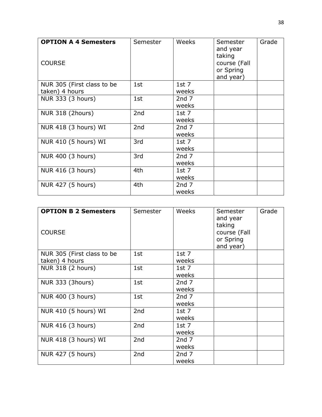| <b>OPTION A 4 Semesters</b><br><b>COURSE</b> | Semester        | Weeks            | Semester<br>and year<br>taking<br>course (Fall<br>or Spring<br>and year) | Grade |
|----------------------------------------------|-----------------|------------------|--------------------------------------------------------------------------|-------|
| NUR 305 (First class to be                   | 1st             | $1st$ 7          |                                                                          |       |
| taken) 4 hours                               |                 | weeks            |                                                                          |       |
| NUR 333 (3 hours)                            | 1st             | 2nd <sub>7</sub> |                                                                          |       |
|                                              |                 | weeks            |                                                                          |       |
| NUR 318 (2hours)                             | 2 <sub>nd</sub> | $1st$ 7          |                                                                          |       |
|                                              |                 | weeks            |                                                                          |       |
| NUR 418 (3 hours) WI                         | 2nd             | 2nd <sub>7</sub> |                                                                          |       |
|                                              |                 | weeks            |                                                                          |       |
| NUR 410 (5 hours) WI                         | 3rd             | $1st$ 7          |                                                                          |       |
|                                              |                 | weeks            |                                                                          |       |
| NUR 400 (3 hours)                            | 3rd             | 2nd <sub>7</sub> |                                                                          |       |
|                                              |                 | weeks            |                                                                          |       |
| NUR 416 (3 hours)                            | 4th             | $1st$ 7          |                                                                          |       |
|                                              |                 | weeks            |                                                                          |       |
| NUR 427 (5 hours)                            | 4th             | 2nd <sub>7</sub> |                                                                          |       |
|                                              |                 | weeks            |                                                                          |       |

| <b>OPTION B 2 Semesters</b><br><b>COURSE</b> | Semester | Weeks                     | Semester<br>and year<br>taking<br>course (Fall<br>or Spring<br>and year) | Grade |
|----------------------------------------------|----------|---------------------------|--------------------------------------------------------------------------|-------|
| NUR 305 (First class to be                   | 1st      | $1st$ 7                   |                                                                          |       |
| taken) 4 hours                               |          | weeks                     |                                                                          |       |
| NUR 318 (2 hours)                            | 1st      | $1st$ 7<br>weeks          |                                                                          |       |
| NUR 333 (3hours)                             | 1st      | 2nd <sub>7</sub><br>weeks |                                                                          |       |
| NUR 400 (3 hours)                            | 1st      | 2nd <sub>7</sub><br>weeks |                                                                          |       |
| NUR 410 (5 hours) WI                         | 2nd      | $1st$ 7<br>weeks          |                                                                          |       |
| NUR 416 (3 hours)                            | 2nd      | 1st $7$<br>weeks          |                                                                          |       |
| NUR 418 (3 hours) WI                         | 2nd      | 2nd <sub>7</sub><br>weeks |                                                                          |       |
| NUR 427 (5 hours)                            | 2nd      | 2nd <sub>7</sub><br>weeks |                                                                          |       |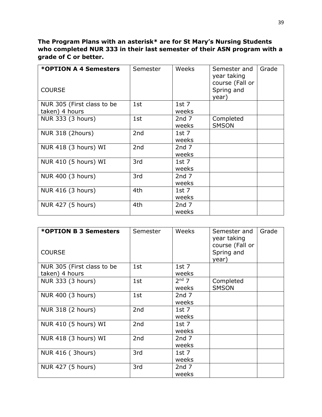# **The Program Plans with an asterisk\* are for St Mary's Nursing Students who completed NUR 333 in their last semester of their ASN program with a grade of C or better.**

| *OPTION A 4 Semesters<br><b>COURSE</b> | Semester | Weeks                              | Semester and<br>year taking<br>course (Fall or<br>Spring and<br>year) | Grade |
|----------------------------------------|----------|------------------------------------|-----------------------------------------------------------------------|-------|
| NUR 305 (First class to be             | 1st      | 1st $7$                            |                                                                       |       |
| taken) 4 hours<br>NUR 333 (3 hours)    | 1st      | weeks<br>2nd <sub>7</sub><br>weeks | Completed<br><b>SMSON</b>                                             |       |
| <b>NUR 318 (2hours)</b>                | 2nd      | 1st $7$<br>weeks                   |                                                                       |       |
| NUR 418 (3 hours) WI                   | 2nd      | 2nd <sub>7</sub><br>weeks          |                                                                       |       |
| NUR 410 (5 hours) WI                   | 3rd      | 1st $7$<br>weeks                   |                                                                       |       |
| NUR 400 (3 hours)                      | 3rd      | 2nd <sub>7</sub><br>weeks          |                                                                       |       |
| NUR 416 (3 hours)                      | 4th      | $1st$ 7<br>weeks                   |                                                                       |       |
| NUR 427 (5 hours)                      | 4th      | 2nd <sub>7</sub><br>weeks          |                                                                       |       |

| *OPTION B 3 Semesters<br><b>COURSE</b> | Semester        | Weeks            | Semester and<br>year taking<br>course (Fall or<br>Spring and<br>year) | Grade |
|----------------------------------------|-----------------|------------------|-----------------------------------------------------------------------|-------|
| NUR 305 (First class to be             | 1st             | $1st$ 7          |                                                                       |       |
| taken) 4 hours                         |                 | weeks            |                                                                       |       |
| NUR 333 (3 hours)                      | 1st             | $2nd$ 7          | Completed                                                             |       |
|                                        |                 | weeks            | <b>SMSON</b>                                                          |       |
| NUR 400 (3 hours)                      | 1st             | 2nd <sub>7</sub> |                                                                       |       |
|                                        |                 | weeks            |                                                                       |       |
| NUR 318 (2 hours)                      | 2nd             | 1st $7$          |                                                                       |       |
|                                        |                 | weeks            |                                                                       |       |
| NUR 410 (5 hours) WI                   | 2nd             | 1st $7$          |                                                                       |       |
|                                        |                 | weeks            |                                                                       |       |
| NUR 418 (3 hours) WI                   | 2 <sub>nd</sub> | 2nd <sub>7</sub> |                                                                       |       |
|                                        |                 | weeks            |                                                                       |       |
| <b>NUR 416 (3hours)</b>                | 3rd             | 1st $7$          |                                                                       |       |
|                                        |                 | weeks            |                                                                       |       |
| NUR 427 (5 hours)                      | 3rd             | 2nd <sub>7</sub> |                                                                       |       |
|                                        |                 | weeks            |                                                                       |       |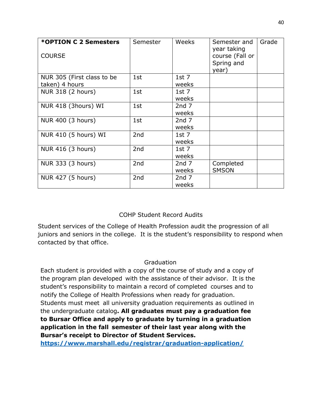| *OPTION C 2 Semesters<br><b>COURSE</b> | Semester        | Weeks                     | Semester and<br>year taking<br>course (Fall or<br>Spring and<br>year) | Grade |
|----------------------------------------|-----------------|---------------------------|-----------------------------------------------------------------------|-------|
| NUR 305 (First class to be             | 1st             | 1st $7$                   |                                                                       |       |
| taken) 4 hours<br>NUR 318 (2 hours)    | 1st             | weeks<br>$1st$ 7<br>weeks |                                                                       |       |
| NUR 418 (3hours) WI                    | 1st             | 2nd <sub>7</sub><br>weeks |                                                                       |       |
| NUR 400 (3 hours)                      | 1st             | 2nd <sub>7</sub><br>weeks |                                                                       |       |
| NUR 410 (5 hours) WI                   | 2 <sub>nd</sub> | 1st $7$<br>weeks          |                                                                       |       |
| NUR 416 (3 hours)                      | 2nd             | $1st$ 7<br>weeks          |                                                                       |       |
| NUR 333 (3 hours)                      | 2 <sub>nd</sub> | 2nd <sub>7</sub><br>weeks | Completed<br><b>SMSON</b>                                             |       |
| NUR 427 (5 hours)                      | 2nd             | 2nd <sub>7</sub><br>weeks |                                                                       |       |

# COHP Student Record Audits

Student services of the College of Health Profession audit the progression of all juniors and seniors in the college. It is the student's responsibility to respond when contacted by that office.

#### Graduation

Each student is provided with a copy of the course of study and a copy of the program plan developed with the assistance of their advisor. It is the student's responsibility to maintain a record of completed courses and to notify the College of Health Professions when ready for graduation. Students must meet all university graduation requirements as outlined in the undergraduate catalog**. All graduates must pay a graduation fee to Bursar Office and apply to graduate by turning in a graduation application in the fall semester of their last year along with the Bursar's receipt to Director of Student Services.**

**<https://www.marshall.edu/registrar/graduation-application/>**